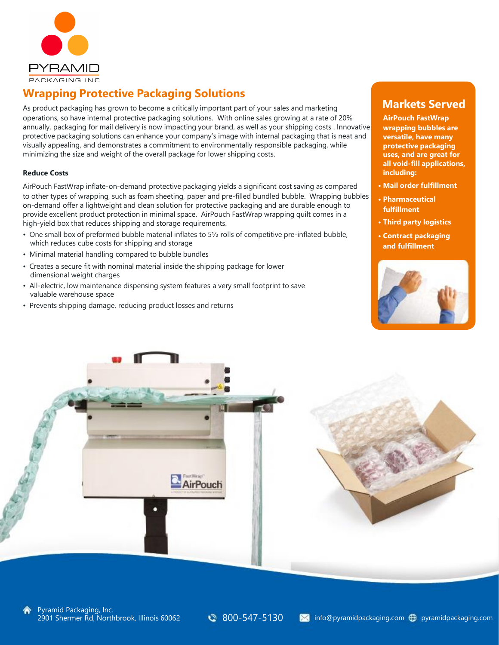

## **Wrapping Protective Packaging Solutions**

As product packaging has grown to become a critically important part of your sales and marketing operations, so have internal protective packaging solutions. With online sales growing at a rate of 20% annually, packaging for mail delivery is now impacting your brand, as well as your shipping costs . Innovative protective packaging solutions can enhance your company's image with internal packaging that is neat and visually appealing, and demonstrates a commitment to environmentally responsible packaging, while minimizing the size and weight of the overall package for lower shipping costs.

### **Reduce Costs**

AirPouch FastWrap inflate-on-demand protective packaging yields a significant cost saving as compared to other types of wrapping, such as foam sheeting, paper and pre-filled bundled bubble. Wrapping bubbles on-demand offer a lightweight and clean solution for protective packaging and are durable enough to provide excellent product protection in minimal space. AirPouch FastWrap wrapping quilt comes in a high-yield box that reduces shipping and storage requirements.

- One small box of preformed bubble material inflates to 5½ rolls of competitive pre-inflated bubble, which reduces cube costs for shipping and storage
- Minimal material handling compared to bubble bundles
- Creates a secure fit with nominal material inside the shipping package for lower dimensional weight charges
- All-electric, low maintenance dispensing system features a very small footprint to save valuable warehouse space
- Prevents shipping damage, reducing product losses and returns

### **Markets Served**

**AirPouch FastWrap wrapping bubbles are versatile, have many protective packaging uses, and are great for all void-fill applications, including:**

- **• Mail order fulfillment**
- **• Pharmaceutical fulfillment**
- **• Third party logistics**
- **• Contract packaging and fulfillment**



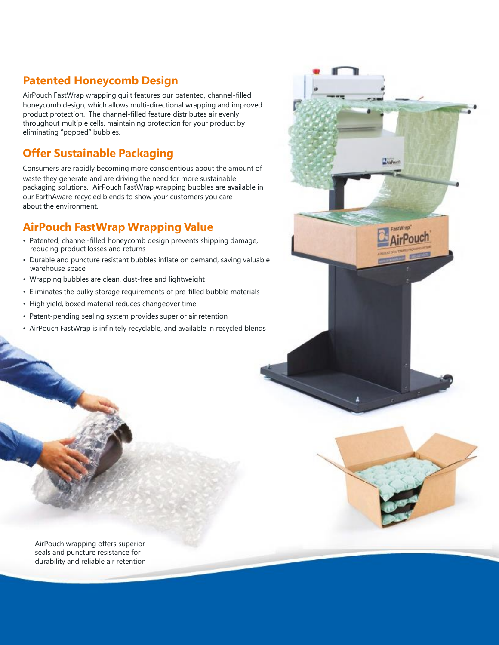## **Patented Honeycomb Design**

AirPouch FastWrap wrapping quilt features our patented, channel-filled honeycomb design, which allows multi-directional wrapping and improved product protection. The channel-filled feature distributes air evenly throughout multiple cells, maintaining protection for your product by eliminating "popped" bubbles.

## **Offer Sustainable Packaging**

Consumers are rapidly becoming more conscientious about the amount of waste they generate and are driving the need for more sustainable packaging solutions. AirPouch FastWrap wrapping bubbles are available in our EarthAware recycled blends to show your customers you care about the environment.

## **AirPouch FastWrap Wrapping Value**

- Patented, channel-filled honeycomb design prevents shipping damage, reducing product losses and returns
- Durable and puncture resistant bubbles inflate on demand, saving valuable warehouse space
- Wrapping bubbles are clean, dust-free and lightweight
- Eliminates the bulky storage requirements of pre-filled bubble materials
- High yield, boxed material reduces changeover time
- Patent-pending sealing system provides superior air retention
- AirPouch FastWrap is infinitely recyclable, and available in recycled blends





AirPouch wrapping offers superior seals and puncture resistance for durability and reliable air retention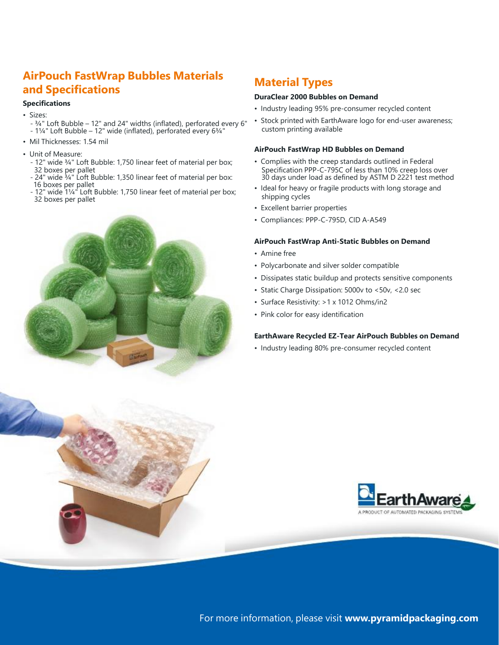## **AirPouch FastWrap Bubbles Materials and Specifications**

### **Specifications**

- Sizes:
	- ¾" Loft Bubble 12" and 24" widths (inflated), perforated every 6" - 1¼" Loft Bubble – 12" wide (inflated), perforated every 6¾"
- Mil Thicknesses: 1.54 mil
- Unit of Measure:
	- 12" wide ¾" Loft Bubble: 1,750 linear feet of material per box; 32 boxes per pallet
	- 24" wide <sup>3</sup>/4" Loft Bubble: 1,350 linear feet of material per box: 16 boxes per pallet
	- 12" wide 1¼" Loft Bubble: 1,750 linear feet of material per box; 32 boxes per pallet



## **Material Types**

#### **DuraClear 2000 Bubbles on Demand**

- Industry leading 95% pre-consumer recycled content
- Stock printed with EarthAware logo for end-user awareness; custom printing available

#### **AirPouch FastWrap HD Bubbles on Demand**

- Complies with the creep standards outlined in Federal Specification PPP-C-795C of less than 10% creep loss over 30 days under load as defined by ASTM D 2221 test method
- Ideal for heavy or fragile products with long storage and shipping cycles
- Excellent barrier properties
- Compliances: PPP-C-795D, CID A-A549

### **AirPouch FastWrap Anti-Static Bubbles on Demand**

- Amine free
- Polycarbonate and silver solder compatible
- Dissipates static buildup and protects sensitive components
- Static Charge Dissipation: 5000v to <50v, <2.0 sec
- Surface Resistivity: >1 x 1012 Ohms/in2
- Pink color for easy identification

### **EarthAware Recycled EZ-Tear AirPouch Bubbles on Demand**

• Industry leading 80% pre-consumer recycled content